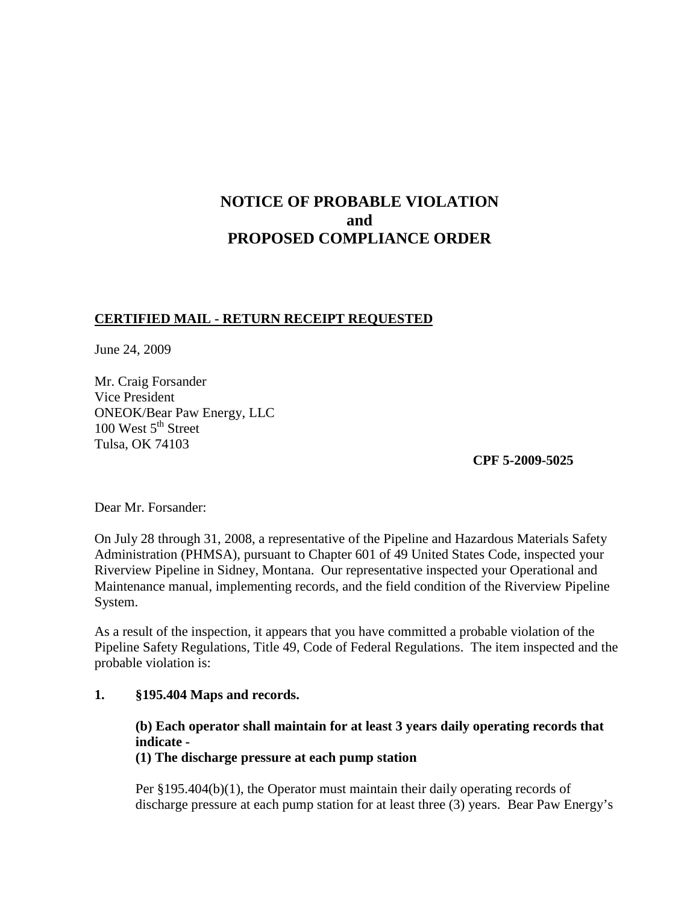# **NOTICE OF PROBABLE VIOLATION and PROPOSED COMPLIANCE ORDER**

## **CERTIFIED MAIL - RETURN RECEIPT REQUESTED**

June 24, 2009

Mr. Craig Forsander Vice President ONEOK/Bear Paw Energy, LLC 100 West  $5<sup>th</sup>$  Street Tulsa, OK 74103

**CPF 5-2009-5025**

Dear Mr. Forsander:

On July 28 through 31, 2008, a representative of the Pipeline and Hazardous Materials Safety Administration (PHMSA), pursuant to Chapter 601 of 49 United States Code, inspected your Riverview Pipeline in Sidney, Montana. Our representative inspected your Operational and Maintenance manual, implementing records, and the field condition of the Riverview Pipeline System.

As a result of the inspection, it appears that you have committed a probable violation of the Pipeline Safety Regulations, Title 49, Code of Federal Regulations. The item inspected and the probable violation is:

### **1. §195.404 Maps and records.**

## **(b) Each operator shall maintain for at least 3 years daily operating records that indicate -**

**(1) The discharge pressure at each pump station**

Per §195.404(b)(1), the Operator must maintain their daily operating records of discharge pressure at each pump station for at least three (3) years. Bear Paw Energy's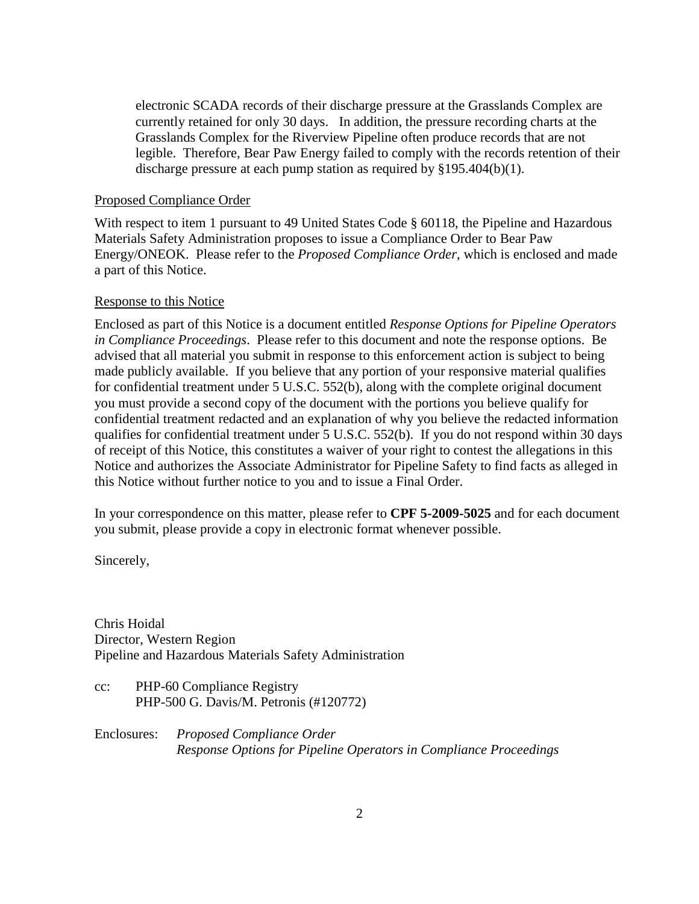electronic SCADA records of their discharge pressure at the Grasslands Complex are currently retained for only 30 days. In addition, the pressure recording charts at the Grasslands Complex for the Riverview Pipeline often produce records that are not legible. Therefore, Bear Paw Energy failed to comply with the records retention of their discharge pressure at each pump station as required by §195.404(b)(1).

### Proposed Compliance Order

With respect to item 1 pursuant to 49 United States Code § 60118, the Pipeline and Hazardous Materials Safety Administration proposes to issue a Compliance Order to Bear Paw Energy/ONEOK. Please refer to the *Proposed Compliance Order*, which is enclosed and made a part of this Notice.

### Response to this Notice

Enclosed as part of this Notice is a document entitled *Response Options for Pipeline Operators in Compliance Proceedings*. Please refer to this document and note the response options. Be advised that all material you submit in response to this enforcement action is subject to being made publicly available. If you believe that any portion of your responsive material qualifies for confidential treatment under 5 U.S.C. 552(b), along with the complete original document you must provide a second copy of the document with the portions you believe qualify for confidential treatment redacted and an explanation of why you believe the redacted information qualifies for confidential treatment under 5 U.S.C. 552(b). If you do not respond within 30 days of receipt of this Notice, this constitutes a waiver of your right to contest the allegations in this Notice and authorizes the Associate Administrator for Pipeline Safety to find facts as alleged in this Notice without further notice to you and to issue a Final Order.

In your correspondence on this matter, please refer to **CPF 5-2009-5025** and for each document you submit, please provide a copy in electronic format whenever possible.

Sincerely,

Chris Hoidal Director, Western Region Pipeline and Hazardous Materials Safety Administration

cc: PHP-60 Compliance Registry PHP-500 G. Davis/M. Petronis (#120772)

Enclosures: *Proposed Compliance Order Response Options for Pipeline Operators in Compliance Proceedings*